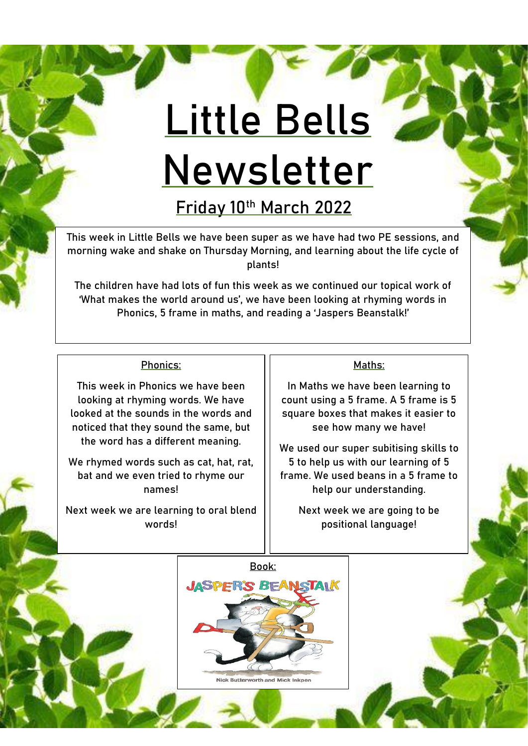# **Little Bells Newsletter**

## **Friday 10th March 2022**

This week in Little Bells we have been super as we have had two PE sessions, and morning wake and shake on Thursday Morning, and learning about the life cycle of plants!

The children have had lots of fun this week as we continued our topical work of 'What makes the world around us', we have been looking at rhyming words in Phonics, 5 frame in maths, and reading a 'Jaspers Beanstalk!'

#### Phonics:

This week in Phonics we have been looking at rhyming words. We have looked at the sounds in the words and noticed that they sound the same, but the word has a different meaning.

We rhymed words such as cat, hat, rat, bat and we even tried to rhyme our names!

Next week we are learning to oral blend words!

#### Maths:

In Maths we have been learning to count using a 5 frame. A 5 frame is 5 square boxes that makes it easier to see how many we have!

We used our super subitising skills to 5 to help us with our learning of 5 frame. We used beans in a 5 frame to help our understanding.

> Next week we are going to be positional language!